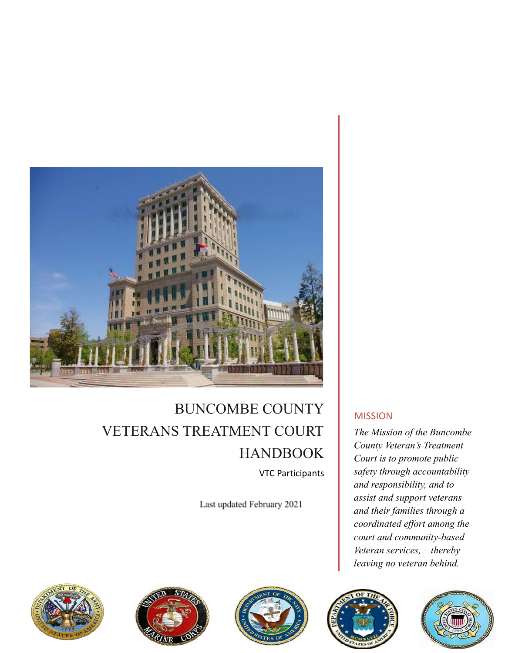

# BUNCOMBE COUNTY VETERANS TREATMENT COURT HANDBOOK VTC Participants

Last updated February 2021









*The Mission of the Buncombe County Veteran's Treatment Court is to promote public safety through accountability and responsibility, and to assist and support veterans and their families through a coordinated effort among the court and community-based Veteran services, – thereby leaving no veteran behind.*



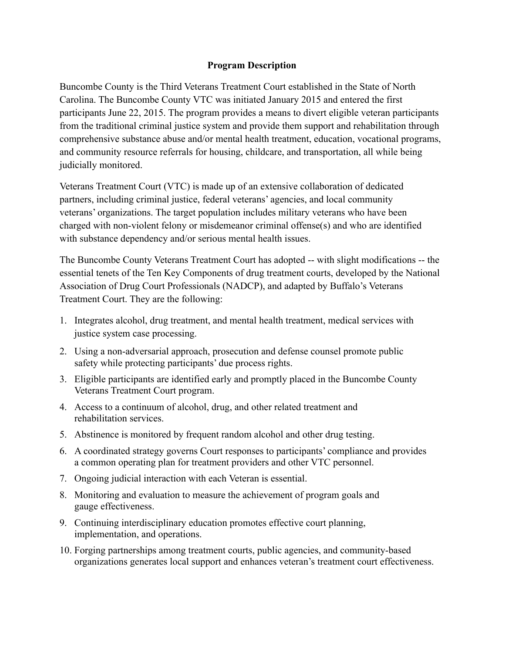#### **Program Description**

Buncombe County is the Third Veterans Treatment Court established in the State of North Carolina. The Buncombe County VTC was initiated January 2015 and entered the first participants June 22, 2015. The program provides a means to divert eligible veteran participants from the traditional criminal justice system and provide them support and rehabilitation through comprehensive substance abuse and/or mental health treatment, education, vocational programs, and community resource referrals for housing, childcare, and transportation, all while being judicially monitored.

Veterans Treatment Court (VTC) is made up of an extensive collaboration of dedicated partners, including criminal justice, federal veterans' agencies, and local community veterans' organizations. The target population includes military veterans who have been charged with non-violent felony or misdemeanor criminal offense(s) and who are identified with substance dependency and/or serious mental health issues.

The Buncombe County Veterans Treatment Court has adopted -- with slight modifications -- the essential tenets of the Ten Key Components of drug treatment courts, developed by the National Association of Drug Court Professionals (NADCP), and adapted by Buffalo's Veterans Treatment Court. They are the following:

- 1. Integrates alcohol, drug treatment, and mental health treatment, medical services with justice system case processing.
- 2. Using a non-adversarial approach, prosecution and defense counsel promote public safety while protecting participants' due process rights.
- 3. Eligible participants are identified early and promptly placed in the Buncombe County Veterans Treatment Court program.
- 4. Access to a continuum of alcohol, drug, and other related treatment and rehabilitation services.
- 5. Abstinence is monitored by frequent random alcohol and other drug testing.
- 6. A coordinated strategy governs Court responses to participants' compliance and provides a common operating plan for treatment providers and other VTC personnel.
- 7. Ongoing judicial interaction with each Veteran is essential.
- 8. Monitoring and evaluation to measure the achievement of program goals and gauge effectiveness.
- 9. Continuing interdisciplinary education promotes effective court planning, implementation, and operations.
- 10. Forging partnerships among treatment courts, public agencies, and community-based organizations generates local support and enhances veteran's treatment court effectiveness.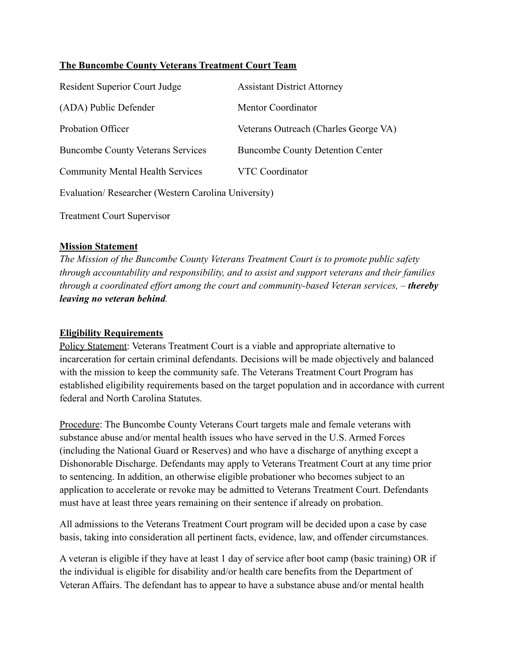## **The Buncombe County Veterans Treatment Court Team**

| <b>Resident Superior Court Judge</b>                | <b>Assistant District Attorney</b>      |  |  |
|-----------------------------------------------------|-----------------------------------------|--|--|
| (ADA) Public Defender                               | <b>Mentor Coordinator</b>               |  |  |
| Probation Officer                                   | Veterans Outreach (Charles George VA)   |  |  |
| <b>Buncombe County Veterans Services</b>            | <b>Buncombe County Detention Center</b> |  |  |
| <b>Community Mental Health Services</b>             | <b>VTC Coordinator</b>                  |  |  |
| Evaluation/Researcher (Western Carolina University) |                                         |  |  |

Treatment Court Supervisor

#### **Mission Statement**

*The Mission of the Buncombe County Veterans Treatment Court is to promote public safety through accountability and responsibility, and to assist and support veterans and their families through a coordinated effort among the court and community-based Veteran services, – thereby leaving no veteran behind.*

#### **Eligibility Requirements**

Policy Statement: Veterans Treatment Court is a viable and appropriate alternative to incarceration for certain criminal defendants. Decisions will be made objectively and balanced with the mission to keep the community safe. The Veterans Treatment Court Program has established eligibility requirements based on the target population and in accordance with current federal and North Carolina Statutes.

Procedure: The Buncombe County Veterans Court targets male and female veterans with substance abuse and/or mental health issues who have served in the U.S. Armed Forces (including the National Guard or Reserves) and who have a discharge of anything except a Dishonorable Discharge. Defendants may apply to Veterans Treatment Court at any time prior to sentencing. In addition, an otherwise eligible probationer who becomes subject to an application to accelerate or revoke may be admitted to Veterans Treatment Court. Defendants must have at least three years remaining on their sentence if already on probation.

All admissions to the Veterans Treatment Court program will be decided upon a case by case basis, taking into consideration all pertinent facts, evidence, law, and offender circumstances.

A veteran is eligible if they have at least 1 day of service after boot camp (basic training) OR if the individual is eligible for disability and/or health care benefits from the Department of Veteran Affairs. The defendant has to appear to have a substance abuse and/or mental health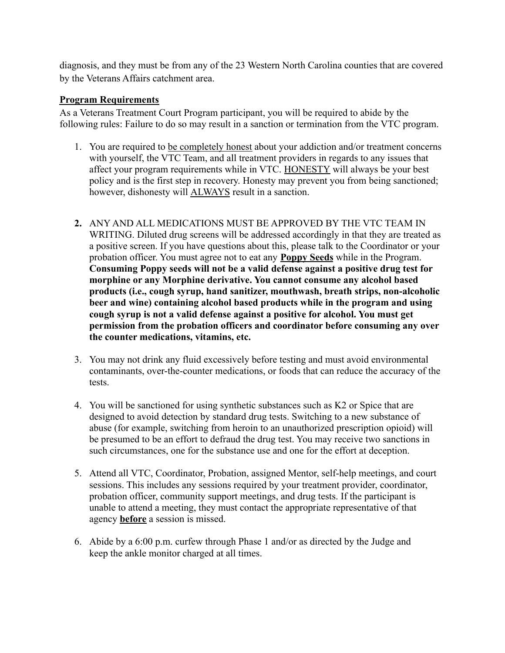diagnosis, and they must be from any of the 23 Western North Carolina counties that are covered by the Veterans Affairs catchment area.

## **Program Requirements**

As a Veterans Treatment Court Program participant, you will be required to abide by the following rules: Failure to do so may result in a sanction or termination from the VTC program.

- 1. You are required to be completely honest about your addiction and/or treatment concerns with yourself, the VTC Team, and all treatment providers in regards to any issues that affect your program requirements while in VTC. HONESTY will always be your best policy and is the first step in recovery. Honesty may prevent you from being sanctioned; however, dishonesty will ALWAYS result in a sanction.
- **2.** ANY AND ALL MEDICATIONS MUST BE APPROVED BY THE VTC TEAM IN WRITING. Diluted drug screens will be addressed accordingly in that they are treated as a positive screen. If you have questions about this, please talk to the Coordinator or your probation officer. You must agree not to eat any **Poppy Seeds** while in the Program. **Consuming Poppy seeds will not be a valid defense against a positive drug test for morphine or any Morphine derivative. You cannot consume any alcohol based products (i.e., cough syrup, hand sanitizer, mouthwash, breath strips, non-alcoholic beer and wine) containing alcohol based products while in the program and using cough syrup is not a valid defense against a positive for alcohol. You must get permission from the probation officers and coordinator before consuming any over the counter medications, vitamins, etc.**
- 3. You may not drink any fluid excessively before testing and must avoid environmental contaminants, over-the-counter medications, or foods that can reduce the accuracy of the tests.
- 4. You will be sanctioned for using synthetic substances such as K2 or Spice that are designed to avoid detection by standard drug tests. Switching to a new substance of abuse (for example, switching from heroin to an unauthorized prescription opioid) will be presumed to be an effort to defraud the drug test. You may receive two sanctions in such circumstances, one for the substance use and one for the effort at deception.
- 5. Attend all VTC, Coordinator, Probation, assigned Mentor, self-help meetings, and court sessions. This includes any sessions required by your treatment provider, coordinator, probation officer, community support meetings, and drug tests. If the participant is unable to attend a meeting, they must contact the appropriate representative of that agency **before** a session is missed.
- 6. Abide by a 6:00 p.m. curfew through Phase 1 and/or as directed by the Judge and keep the ankle monitor charged at all times.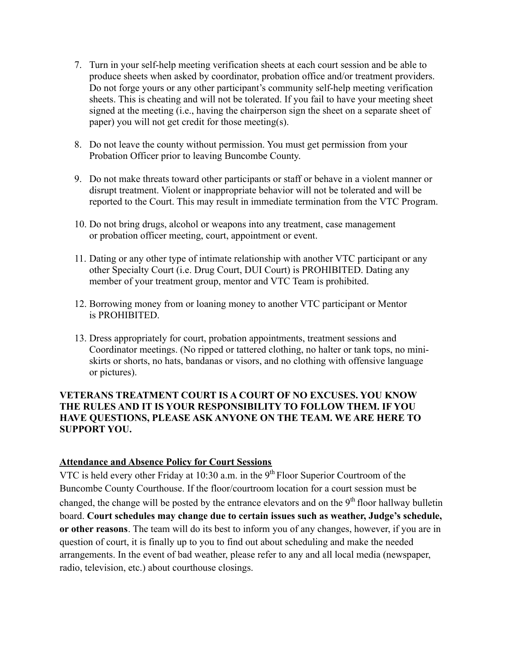- 7. Turn in your self-help meeting verification sheets at each court session and be able to produce sheets when asked by coordinator, probation office and/or treatment providers. Do not forge yours or any other participant's community self-help meeting verification sheets. This is cheating and will not be tolerated. If you fail to have your meeting sheet signed at the meeting (i.e., having the chairperson sign the sheet on a separate sheet of paper) you will not get credit for those meeting(s).
- 8. Do not leave the county without permission. You must get permission from your Probation Officer prior to leaving Buncombe County.
- 9. Do not make threats toward other participants or staff or behave in a violent manner or disrupt treatment. Violent or inappropriate behavior will not be tolerated and will be reported to the Court. This may result in immediate termination from the VTC Program.
- 10. Do not bring drugs, alcohol or weapons into any treatment, case management or probation officer meeting, court, appointment or event.
- 11. Dating or any other type of intimate relationship with another VTC participant or any other Specialty Court (i.e. Drug Court, DUI Court) is PROHIBITED. Dating any member of your treatment group, mentor and VTC Team is prohibited.
- 12. Borrowing money from or loaning money to another VTC participant or Mentor is PROHIBITED.
- 13. Dress appropriately for court, probation appointments, treatment sessions and Coordinator meetings. (No ripped or tattered clothing, no halter or tank tops, no miniskirts or shorts, no hats, bandanas or visors, and no clothing with offensive language or pictures).

#### **VETERANS TREATMENT COURT IS A COURT OF NO EXCUSES. YOU KNOW THE RULES AND IT IS YOUR RESPONSIBILITY TO FOLLOW THEM. IF YOU HAVE QUESTIONS, PLEASE ASK ANYONE ON THE TEAM. WE ARE HERE TO SUPPORT YOU.**

#### **Attendance and Absence Policy for Court Sessions**

VTC is held every other Friday at  $10:30$  a.m. in the 9<sup>th</sup> Floor Superior Courtroom of the Buncombe County Courthouse. If the floor/courtroom location for a court session must be changed, the change will be posted by the entrance elevators and on the 9<sup>th</sup> floor hallway bulletin board. **Court schedules may change due to certain issues such as weather, Judge's schedule, or other reasons**. The team will do its best to inform you of any changes, however, if you are in question of court, it is finally up to you to find out about scheduling and make the needed arrangements. In the event of bad weather, please refer to any and all local media (newspaper, radio, television, etc.) about courthouse closings.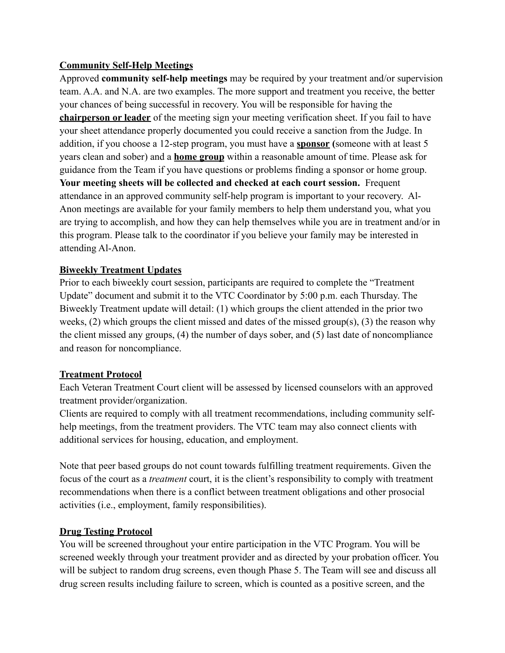# **Community Self-Help Meetings**

Approved **community self-help meetings** may be required by your treatment and/or supervision team. A.A. and N.A. are two examples. The more support and treatment you receive, the better your chances of being successful in recovery. You will be responsible for having the **chairperson or leader** of the meeting sign your meeting verification sheet. If you fail to have your sheet attendance properly documented you could receive a sanction from the Judge. In addition, if you choose a 12-step program, you must have a **sponsor (**someone with at least 5 years clean and sober) and a **home group** within a reasonable amount of time. Please ask for guidance from the Team if you have questions or problems finding a sponsor or home group. **Your meeting sheets will be collected and checked at each court session.** Frequent attendance in an approved community self-help program is important to your recovery. Al-Anon meetings are available for your family members to help them understand you, what you are trying to accomplish, and how they can help themselves while you are in treatment and/or in this program. Please talk to the coordinator if you believe your family may be interested in attending Al-Anon.

# **Biweekly Treatment Updates**

Prior to each biweekly court session, participants are required to complete the "Treatment Update" document and submit it to the VTC Coordinator by 5:00 p.m. each Thursday. The Biweekly Treatment update will detail: (1) which groups the client attended in the prior two weeks, (2) which groups the client missed and dates of the missed group(s), (3) the reason why the client missed any groups, (4) the number of days sober, and (5) last date of noncompliance and reason for noncompliance.

#### **Treatment Protocol**

Each Veteran Treatment Court client will be assessed by licensed counselors with an approved treatment provider/organization.

Clients are required to comply with all treatment recommendations, including community selfhelp meetings, from the treatment providers. The VTC team may also connect clients with additional services for housing, education, and employment.

Note that peer based groups do not count towards fulfilling treatment requirements. Given the focus of the court as a *treatment* court, it is the client's responsibility to comply with treatment recommendations when there is a conflict between treatment obligations and other prosocial activities (i.e., employment, family responsibilities).

#### **Drug Testing Protocol**

You will be screened throughout your entire participation in the VTC Program. You will be screened weekly through your treatment provider and as directed by your probation officer. You will be subject to random drug screens, even though Phase 5. The Team will see and discuss all drug screen results including failure to screen, which is counted as a positive screen, and the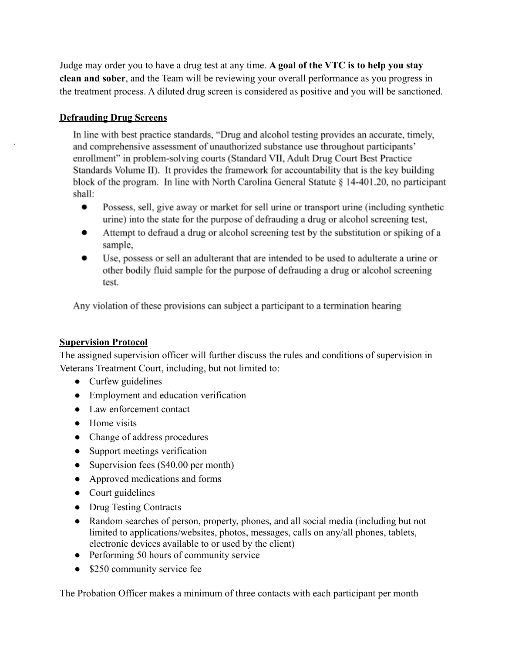Judge may order you to have a drug test at any time. **A goal of the VTC is to help you stay clean and sober**, and the Team will be reviewing your overall performance as you progress in the treatment process. A diluted drug screen is considered as positive and you will be sanctioned.

## **Defrauding Drug Screens**

.

In line with best practice standards, "Drug and alcohol testing provides an accurate, timely, and comprehensive assessment of unauthorized substance use throughout participants' enrollment" in problem-solving courts (Standard VII, Adult Drug Court Best Practice Standards Volume II). It provides the framework for accountability that is the key building block of the program. In line with North Carolina General Statute § 14-401.20, no participant shall:

- $\bullet$ Possess, sell, give away or market for sell urine or transport urine (including synthetic urine) into the state for the purpose of defrauding a drug or alcohol screening test,
- Attempt to defraud a drug or alcohol screening test by the substitution or spiking of a sample,
- Use, possess or sell an adulterant that are intended to be used to adulterate a urine or other bodily fluid sample for the purpose of defrauding a drug or alcohol screening test.

Any violation of these provisions can subject a participant to a termination hearing

#### **Supervision Protocol**

The assigned supervision officer will further discuss the rules and conditions of supervision in Veterans Treatment Court, including, but not limited to:

- Curfew guidelines
- Employment and education verification
- Law enforcement contact
- Home visits
- Change of address procedures
- Support meetings verification
- Supervision fees (\$40.00 per month)
- Approved medications and forms
- Court guidelines
- Drug Testing Contracts
- Random searches of person, property, phones, and all social media (including but not limited to applications/websites, photos, messages, calls on any/all phones, tablets, electronic devices available to or used by the client)
- Performing 50 hours of community service
- \$250 community service fee

The Probation Officer makes a minimum of three contacts with each participant per month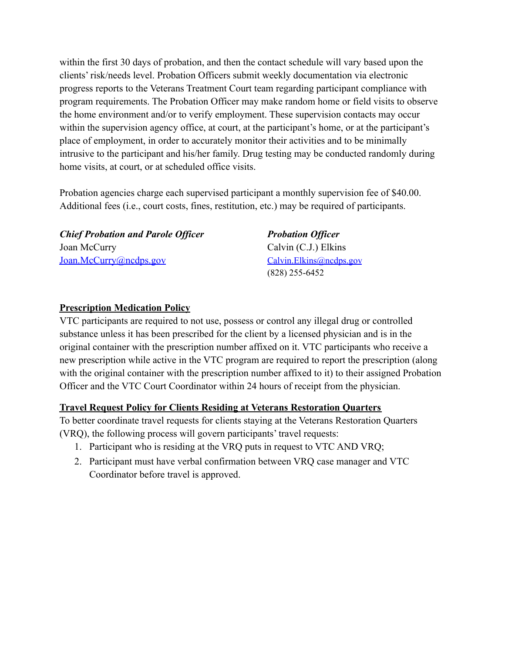within the first 30 days of probation, and then the contact schedule will vary based upon the clients' risk/needs level. Probation Officers submit weekly documentation via electronic progress reports to the Veterans Treatment Court team regarding participant compliance with program requirements. The Probation Officer may make random home or field visits to observe the home environment and/or to verify employment. These supervision contacts may occur within the supervision agency office, at court, at the participant's home, or at the participant's place of employment, in order to accurately monitor their activities and to be minimally intrusive to the participant and his/her family. Drug testing may be conducted randomly during home visits, at court, or at scheduled office visits.

Probation agencies charge each supervised participant a monthly supervision fee of \$40.00. Additional fees (i.e., court costs, fines, restitution, etc.) may be required of participants.

*Chief Probation and Parole Officer Probation Officer* Joan McCurry Calvin (C.J.) Elkins [Joan.McCurry@ncdps.gov](mailto:Joan.McCurry@ncdps.gov) [Calvin.Elkins@ncdps.gov](mailto:Calvin.Elkins@ncdps.gov)

(828) 255-6452

#### **Prescription Medication Policy**

VTC participants are required to not use, possess or control any illegal drug or controlled substance unless it has been prescribed for the client by a licensed physician and is in the original container with the prescription number affixed on it. VTC participants who receive a new prescription while active in the VTC program are required to report the prescription (along with the original container with the prescription number affixed to it) to their assigned Probation Officer and the VTC Court Coordinator within 24 hours of receipt from the physician.

#### **Travel Request Policy for Clients Residing at Veterans Restoration Quarters**

To better coordinate travel requests for clients staying at the Veterans Restoration Quarters (VRQ), the following process will govern participants' travel requests:

- 1. Participant who is residing at the VRQ puts in request to VTC AND VRQ;
- 2. Participant must have verbal confirmation between VRQ case manager and VTC Coordinator before travel is approved.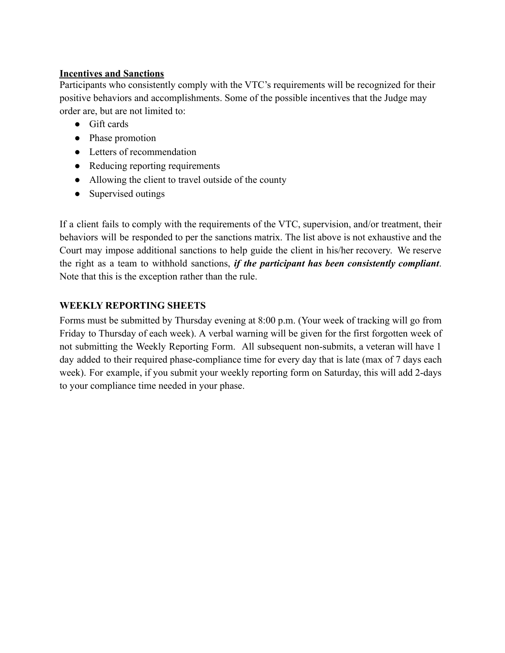#### **Incentives and Sanctions**

Participants who consistently comply with the VTC's requirements will be recognized for their positive behaviors and accomplishments. Some of the possible incentives that the Judge may order are, but are not limited to:

- Gift cards
- Phase promotion
- Letters of recommendation
- Reducing reporting requirements
- Allowing the client to travel outside of the county
- Supervised outings

If a client fails to comply with the requirements of the VTC, supervision, and/or treatment, their behaviors will be responded to per the sanctions matrix. The list above is not exhaustive and the Court may impose additional sanctions to help guide the client in his/her recovery. We reserve the right as a team to withhold sanctions, *if the participant has been consistently compliant*. Note that this is the exception rather than the rule.

# **WEEKLY REPORTING SHEETS**

Forms must be submitted by Thursday evening at 8:00 p.m. (Your week of tracking will go from Friday to Thursday of each week). A verbal warning will be given for the first forgotten week of not submitting the Weekly Reporting Form. All subsequent non-submits, a veteran will have 1 day added to their required phase-compliance time for every day that is late (max of 7 days each week). For example, if you submit your weekly reporting form on Saturday, this will add 2-days to your compliance time needed in your phase.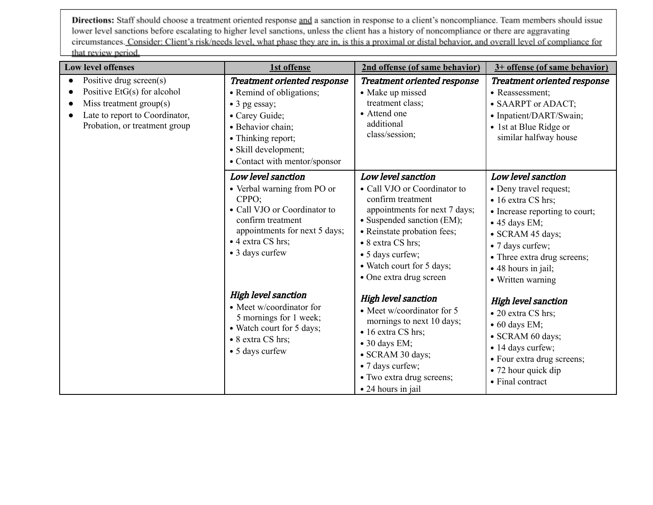Directions: Staff should choose a treatment oriented response and a sanction in response to a client's noncompliance. Team members should issue lower level sanctions before escalating to higher level sanctions, unless the client has a history of noncompliance or there are aggravating circumstances. Consider: Client's risk/needs level, what phase they are in, is this a proximal or distal behavior, and overall level of compliance for that review period.

| <b>Low level offenses</b>                                                                                                                               | 1st offense                                                                                                                                                                                                   | 2nd offense (of same behavior)                                                                                                                                                                                                                                         | 3+ offense (of same behavior)                                                                                                                                                                                                                    |
|---------------------------------------------------------------------------------------------------------------------------------------------------------|---------------------------------------------------------------------------------------------------------------------------------------------------------------------------------------------------------------|------------------------------------------------------------------------------------------------------------------------------------------------------------------------------------------------------------------------------------------------------------------------|--------------------------------------------------------------------------------------------------------------------------------------------------------------------------------------------------------------------------------------------------|
| Positive drug screen(s)<br>Positive $E tG(s)$ for alcohol<br>Miss treatment group(s)<br>Late to report to Coordinator,<br>Probation, or treatment group | <b>Treatment oriented response</b><br>• Remind of obligations;<br>$\bullet$ 3 pg essay;<br>• Carey Guide;<br>· Behavior chain:<br>• Thinking report;<br>• Skill development;<br>• Contact with mentor/sponsor | <b>Treatment oriented response</b><br>• Make up missed<br>treatment class;<br>• Attend one<br>additional<br>class/session;                                                                                                                                             | <b>Treatment oriented response</b><br>• Reassessment;<br>• SAARPT or ADACT;<br>• Inpatient/DART/Swain;<br>• 1st at Blue Ridge or<br>similar halfway house                                                                                        |
|                                                                                                                                                         | Low level sanction<br>• Verbal warning from PO or<br>CPPO;<br>• Call VJO or Coordinator to<br>confirm treatment<br>appointments for next 5 days;<br>• 4 extra CS hrs;<br>• 3 days curfew                      | Low level sanction<br>• Call VJO or Coordinator to<br>confirm treatment<br>appointments for next 7 days;<br>• Suspended sanction (EM);<br>· Reinstate probation fees;<br>• 8 extra CS hrs;<br>• 5 days curfew;<br>• Watch court for 5 days;<br>• One extra drug screen | Low level sanction<br>• Deny travel request;<br>• 16 extra CS hrs;<br>• Increase reporting to court;<br>$\bullet$ 45 days EM;<br>· SCRAM 45 days;<br>• 7 days curfew;<br>• Three extra drug screens;<br>• 48 hours in jail;<br>• Written warning |
|                                                                                                                                                         | <b>High level sanction</b><br>• Meet w/coordinator for<br>5 mornings for 1 week;<br>• Watch court for 5 days;<br>• 8 extra CS hrs;<br>• 5 days curfew                                                         | <b>High level sanction</b><br>• Meet w/coordinator for 5<br>mornings to next 10 days;<br>• 16 extra CS hrs;<br>$\bullet$ 30 days EM;<br>· SCRAM 30 days;<br>• 7 days curfew;<br>• Two extra drug screens;<br>• 24 hours in jail                                        | <b>High level sanction</b><br>• 20 extra CS hrs:<br>$\bullet$ 60 days EM;<br>· SCRAM 60 days;<br>• 14 days curfew;<br>• Four extra drug screens;<br>• 72 hour quick dip<br>• Final contract                                                      |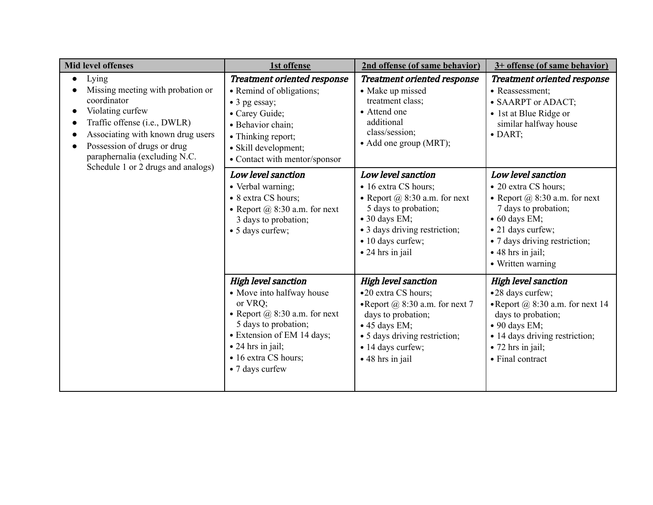| <b>Mid level offenses</b>                                                                                                                                                                                                                                | 1st offense                                                                                                                                                                                                                           | 2nd offense (of same behavior)                                                                                                                                                                                  | 3+ offense (of same behavior)                                                                                                                                                                                                            |
|----------------------------------------------------------------------------------------------------------------------------------------------------------------------------------------------------------------------------------------------------------|---------------------------------------------------------------------------------------------------------------------------------------------------------------------------------------------------------------------------------------|-----------------------------------------------------------------------------------------------------------------------------------------------------------------------------------------------------------------|------------------------------------------------------------------------------------------------------------------------------------------------------------------------------------------------------------------------------------------|
| Lying<br>Missing meeting with probation or<br>coordinator<br>Violating curfew<br>Traffic offense (i.e., DWLR)<br>Associating with known drug users<br>Possession of drugs or drug<br>paraphernalia (excluding N.C.<br>Schedule 1 or 2 drugs and analogs) | <b>Treatment oriented response</b><br>• Remind of obligations;<br>$\bullet$ 3 pg essay;<br>• Carey Guide;<br>· Behavior chain:<br>• Thinking report;<br>· Skill development;<br>• Contact with mentor/sponsor                         | <b>Treatment oriented response</b><br>• Make up missed<br>treatment class;<br>• Attend one<br>additional<br>class/session;<br>• Add one group (MRT);                                                            | Treatment oriented response<br>• Reassessment;<br>• SAARPT or ADACT;<br>• 1st at Blue Ridge or<br>similar halfway house<br>$\bullet$ DART;                                                                                               |
|                                                                                                                                                                                                                                                          | Low level sanction<br>• Verbal warning;<br>• 8 extra CS hours;<br>• Report $(a)$ 8:30 a.m. for next<br>3 days to probation;<br>• 5 days curfew;                                                                                       | Low level sanction<br>• 16 extra CS hours;<br>• Report $(a)$ 8:30 a.m. for next<br>5 days to probation;<br>$\bullet$ 30 days EM;<br>• 3 days driving restriction;<br>• 10 days curfew;<br>• 24 hrs in jail      | Low level sanction<br>• 20 extra CS hours;<br>• Report $(a)$ 8:30 a.m. for next<br>7 days to probation;<br>$\bullet$ 60 days EM;<br>• 21 days curfew;<br>• 7 days driving restriction;<br>$\bullet$ 48 hrs in jail;<br>• Written warning |
|                                                                                                                                                                                                                                                          | <b>High level sanction</b><br>• Move into halfway house<br>or VRQ;<br>• Report $(a)$ 8:30 a.m. for next<br>5 days to probation;<br>• Extension of EM 14 days;<br>$\bullet$ 24 hrs in jail;<br>• 16 extra CS hours;<br>• 7 days curfew | <b>High level sanction</b><br>•20 extra CS hours;<br>• Report $@$ 8:30 a.m. for next 7<br>days to probation;<br>$\bullet$ 45 days EM;<br>• 5 days driving restriction;<br>• 14 days curfew;<br>• 48 hrs in jail | <b>High level sanction</b><br>•28 days curfew;<br>• Report $@$ 8:30 a.m. for next 14<br>days to probation;<br>$\bullet$ 90 days EM;<br>• 14 days driving restriction;<br>$\bullet$ 72 hrs in jail;<br>• Final contract                   |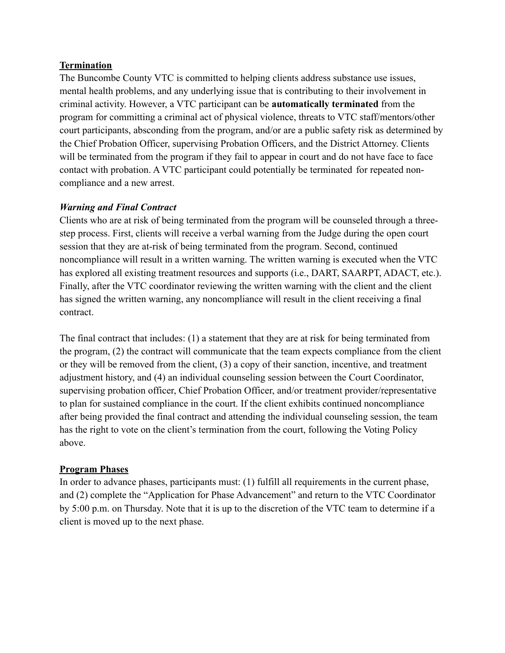#### **Termination**

The Buncombe County VTC is committed to helping clients address substance use issues, mental health problems, and any underlying issue that is contributing to their involvement in criminal activity. However, a VTC participant can be **automatically terminated** from the program for committing a criminal act of physical violence, threats to VTC staff/mentors/other court participants, absconding from the program, and/or are a public safety risk as determined by the Chief Probation Officer, supervising Probation Officers, and the District Attorney. Clients will be terminated from the program if they fail to appear in court and do not have face to face contact with probation. A VTC participant could potentially be terminated for repeated noncompliance and a new arrest.

# *Warning and Final Contract*

Clients who are at risk of being terminated from the program will be counseled through a threestep process. First, clients will receive a verbal warning from the Judge during the open court session that they are at-risk of being terminated from the program. Second, continued noncompliance will result in a written warning. The written warning is executed when the VTC has explored all existing treatment resources and supports (i.e., DART, SAARPT, ADACT, etc.). Finally, after the VTC coordinator reviewing the written warning with the client and the client has signed the written warning, any noncompliance will result in the client receiving a final contract.

The final contract that includes: (1) a statement that they are at risk for being terminated from the program, (2) the contract will communicate that the team expects compliance from the client or they will be removed from the client, (3) a copy of their sanction, incentive, and treatment adjustment history, and (4) an individual counseling session between the Court Coordinator, supervising probation officer, Chief Probation Officer, and/or treatment provider/representative to plan for sustained compliance in the court. If the client exhibits continued noncompliance after being provided the final contract and attending the individual counseling session, the team has the right to vote on the client's termination from the court, following the Voting Policy above.

#### **Program Phases**

In order to advance phases, participants must: (1) fulfill all requirements in the current phase, and (2) complete the "Application for Phase Advancement" and return to the VTC Coordinator by 5:00 p.m. on Thursday. Note that it is up to the discretion of the VTC team to determine if a client is moved up to the next phase.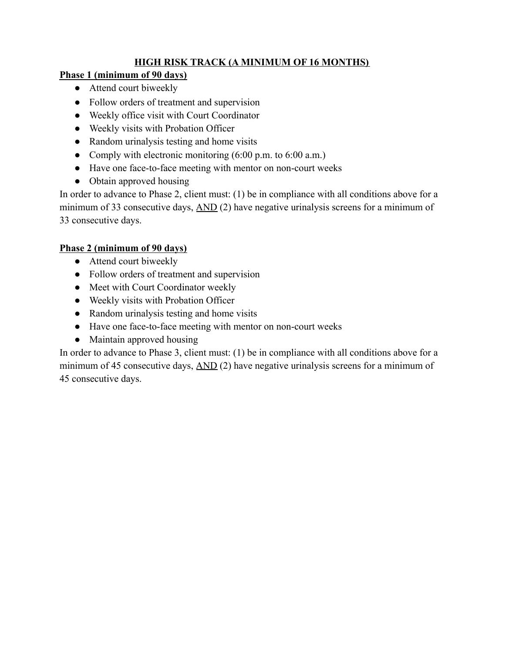# **HIGH RISK TRACK (A MINIMUM OF 16 MONTHS)**

# **Phase 1 (minimum of 90 days)**

- Attend court biweekly
- Follow orders of treatment and supervision
- Weekly office visit with Court Coordinator
- Weekly visits with Probation Officer
- Random urinalysis testing and home visits
- Comply with electronic monitoring  $(6:00 \text{ p.m. to } 6:00 \text{ a.m.})$
- Have one face-to-face meeting with mentor on non-court weeks
- Obtain approved housing

In order to advance to Phase 2, client must: (1) be in compliance with all conditions above for a minimum of 33 consecutive days, AND (2) have negative urinalysis screens for a minimum of 33 consecutive days.

# **Phase 2 (minimum of 90 days)**

- Attend court biweekly
- Follow orders of treatment and supervision
- Meet with Court Coordinator weekly
- Weekly visits with Probation Officer
- Random urinalysis testing and home visits
- Have one face-to-face meeting with mentor on non-court weeks
- Maintain approved housing

In order to advance to Phase 3, client must: (1) be in compliance with all conditions above for a minimum of 45 consecutive days, AND (2) have negative urinalysis screens for a minimum of 45 consecutive days.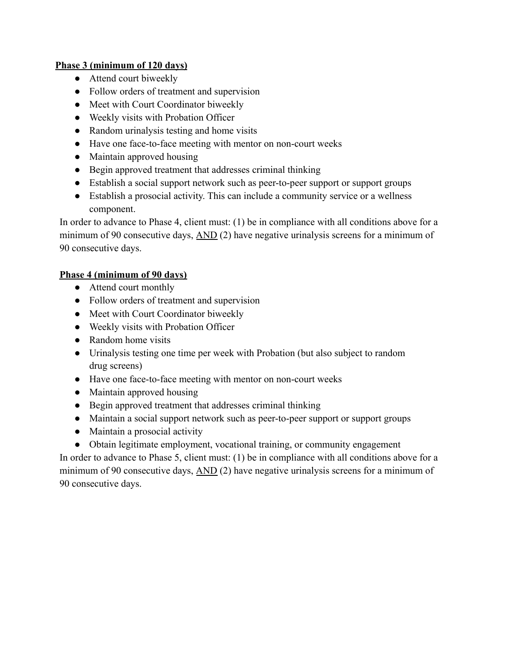# **Phase 3 (minimum of 120 days)**

- Attend court biweekly
- Follow orders of treatment and supervision
- Meet with Court Coordinator biweekly
- Weekly visits with Probation Officer
- Random urinalysis testing and home visits
- Have one face-to-face meeting with mentor on non-court weeks
- Maintain approved housing
- Begin approved treatment that addresses criminal thinking
- Establish a social support network such as peer-to-peer support or support groups
- Establish a prosocial activity. This can include a community service or a wellness component.

In order to advance to Phase 4, client must: (1) be in compliance with all conditions above for a minimum of 90 consecutive days, AND (2) have negative urinalysis screens for a minimum of 90 consecutive days.

# **Phase 4 (minimum of 90 days)**

- Attend court monthly
- Follow orders of treatment and supervision
- Meet with Court Coordinator biweekly
- Weekly visits with Probation Officer
- Random home visits
- Urinalysis testing one time per week with Probation (but also subject to random drug screens)
- Have one face-to-face meeting with mentor on non-court weeks
- Maintain approved housing
- Begin approved treatment that addresses criminal thinking
- Maintain a social support network such as peer-to-peer support or support groups
- Maintain a prosocial activity
- Obtain legitimate employment, vocational training, or community engagement

In order to advance to Phase 5, client must: (1) be in compliance with all conditions above for a minimum of 90 consecutive days, AND (2) have negative urinalysis screens for a minimum of 90 consecutive days.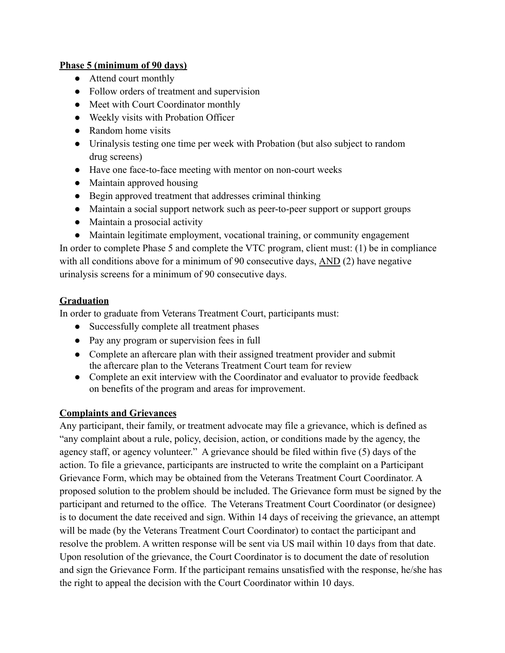## **Phase 5 (minimum of 90 days)**

- Attend court monthly
- Follow orders of treatment and supervision
- Meet with Court Coordinator monthly
- Weekly visits with Probation Officer
- Random home visits
- Urinalysis testing one time per week with Probation (but also subject to random drug screens)
- Have one face-to-face meeting with mentor on non-court weeks
- Maintain approved housing
- Begin approved treatment that addresses criminal thinking
- Maintain a social support network such as peer-to-peer support or support groups
- Maintain a prosocial activity
- Maintain legitimate employment, vocational training, or community engagement

In order to complete Phase 5 and complete the VTC program, client must: (1) be in compliance with all conditions above for a minimum of 90 consecutive days,  $\overline{AND}(2)$  have negative urinalysis screens for a minimum of 90 consecutive days.

# **Graduation**

In order to graduate from Veterans Treatment Court, participants must:

- Successfully complete all treatment phases
- Pay any program or supervision fees in full
- Complete an aftercare plan with their assigned treatment provider and submit the aftercare plan to the Veterans Treatment Court team for review
- Complete an exit interview with the Coordinator and evaluator to provide feedback on benefits of the program and areas for improvement.

# **Complaints and Grievances**

Any participant, their family, or treatment advocate may file a grievance, which is defined as "any complaint about a rule, policy, decision, action, or conditions made by the agency, the agency staff, or agency volunteer." A grievance should be filed within five (5) days of the action. To file a grievance, participants are instructed to write the complaint on a Participant Grievance Form, which may be obtained from the Veterans Treatment Court Coordinator. A proposed solution to the problem should be included. The Grievance form must be signed by the participant and returned to the office. The Veterans Treatment Court Coordinator (or designee) is to document the date received and sign. Within 14 days of receiving the grievance, an attempt will be made (by the Veterans Treatment Court Coordinator) to contact the participant and resolve the problem. A written response will be sent via US mail within 10 days from that date. Upon resolution of the grievance, the Court Coordinator is to document the date of resolution and sign the Grievance Form. If the participant remains unsatisfied with the response, he/she has the right to appeal the decision with the Court Coordinator within 10 days.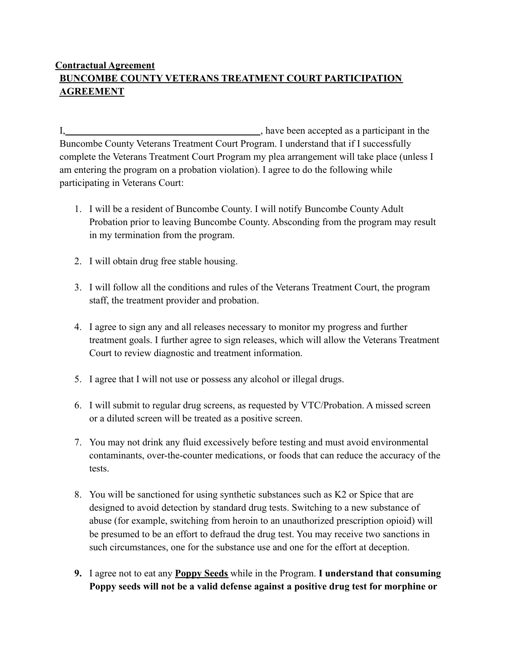# **Contractual Agreement BUNCOMBE COUNTY VETERANS TREATMENT COURT PARTICIPATION AGREEMENT**

I, have been accepted as a participant in the Buncombe County Veterans Treatment Court Program. I understand that if I successfully complete the Veterans Treatment Court Program my plea arrangement will take place (unless I am entering the program on a probation violation). I agree to do the following while participating in Veterans Court:

- 1. I will be a resident of Buncombe County. I will notify Buncombe County Adult Probation prior to leaving Buncombe County. Absconding from the program may result in my termination from the program.
- 2. I will obtain drug free stable housing.
- 3. I will follow all the conditions and rules of the Veterans Treatment Court, the program staff, the treatment provider and probation.
- 4. I agree to sign any and all releases necessary to monitor my progress and further treatment goals. I further agree to sign releases, which will allow the Veterans Treatment Court to review diagnostic and treatment information.
- 5. I agree that I will not use or possess any alcohol or illegal drugs.
- 6. I will submit to regular drug screens, as requested by VTC/Probation. A missed screen or a diluted screen will be treated as a positive screen.
- 7. You may not drink any fluid excessively before testing and must avoid environmental contaminants, over-the-counter medications, or foods that can reduce the accuracy of the tests.
- 8. You will be sanctioned for using synthetic substances such as K2 or Spice that are designed to avoid detection by standard drug tests. Switching to a new substance of abuse (for example, switching from heroin to an unauthorized prescription opioid) will be presumed to be an effort to defraud the drug test. You may receive two sanctions in such circumstances, one for the substance use and one for the effort at deception.
- **9.** I agree not to eat any **Poppy Seeds** while in the Program. **I understand that consuming Poppy seeds will not be a valid defense against a positive drug test for morphine or**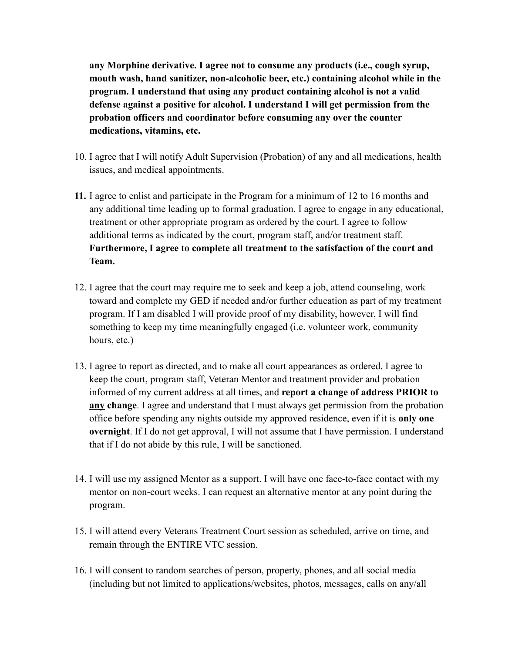**any Morphine derivative. I agree not to consume any products (i.e., cough syrup, mouth wash, hand sanitizer, non-alcoholic beer, etc.) containing alcohol while in the program. I understand that using any product containing alcohol is not a valid defense against a positive for alcohol. I understand I will get permission from the probation officers and coordinator before consuming any over the counter medications, vitamins, etc.**

- 10. I agree that I will notify Adult Supervision (Probation) of any and all medications, health issues, and medical appointments.
- **11.** I agree to enlist and participate in the Program for a minimum of 12 to 16 months and any additional time leading up to formal graduation. I agree to engage in any educational, treatment or other appropriate program as ordered by the court. I agree to follow additional terms as indicated by the court, program staff, and/or treatment staff. **Furthermore, I agree to complete all treatment to the satisfaction of the court and Team.**
- 12. I agree that the court may require me to seek and keep a job, attend counseling, work toward and complete my GED if needed and/or further education as part of my treatment program. If I am disabled I will provide proof of my disability, however, I will find something to keep my time meaningfully engaged (i.e. volunteer work, community hours, etc.)
- 13. I agree to report as directed, and to make all court appearances as ordered. I agree to keep the court, program staff, Veteran Mentor and treatment provider and probation informed of my current address at all times, and **report a change of address PRIOR to any change**. I agree and understand that I must always get permission from the probation office before spending any nights outside my approved residence, even if it is **only one overnight**. If I do not get approval, I will not assume that I have permission. I understand that if I do not abide by this rule, I will be sanctioned.
- 14. I will use my assigned Mentor as a support. I will have one face-to-face contact with my mentor on non-court weeks. I can request an alternative mentor at any point during the program.
- 15. I will attend every Veterans Treatment Court session as scheduled, arrive on time, and remain through the ENTIRE VTC session.
- 16. I will consent to random searches of person, property, phones, and all social media (including but not limited to applications/websites, photos, messages, calls on any/all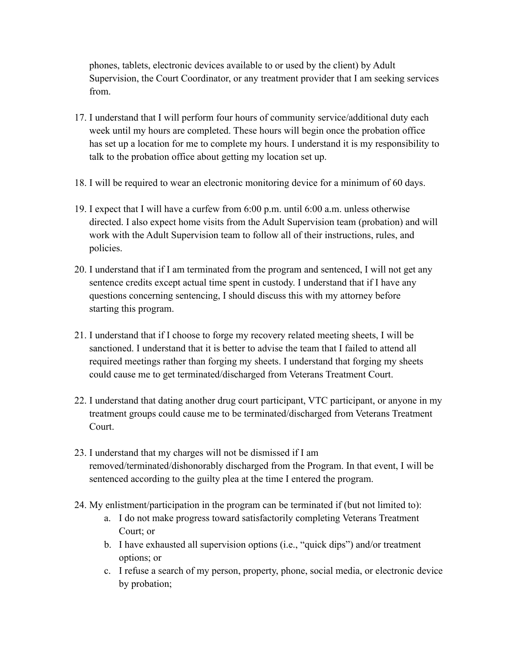phones, tablets, electronic devices available to or used by the client) by Adult Supervision, the Court Coordinator, or any treatment provider that I am seeking services from.

- 17. I understand that I will perform four hours of community service/additional duty each week until my hours are completed. These hours will begin once the probation office has set up a location for me to complete my hours. I understand it is my responsibility to talk to the probation office about getting my location set up.
- 18. I will be required to wear an electronic monitoring device for a minimum of 60 days.
- 19. I expect that I will have a curfew from 6:00 p.m. until 6:00 a.m. unless otherwise directed. I also expect home visits from the Adult Supervision team (probation) and will work with the Adult Supervision team to follow all of their instructions, rules, and policies.
- 20. I understand that if I am terminated from the program and sentenced, I will not get any sentence credits except actual time spent in custody. I understand that if I have any questions concerning sentencing, I should discuss this with my attorney before starting this program.
- 21. I understand that if I choose to forge my recovery related meeting sheets, I will be sanctioned. I understand that it is better to advise the team that I failed to attend all required meetings rather than forging my sheets. I understand that forging my sheets could cause me to get terminated/discharged from Veterans Treatment Court.
- 22. I understand that dating another drug court participant, VTC participant, or anyone in my treatment groups could cause me to be terminated/discharged from Veterans Treatment Court.
- 23. I understand that my charges will not be dismissed if I am removed/terminated/dishonorably discharged from the Program. In that event, I will be sentenced according to the guilty plea at the time I entered the program.
- 24. My enlistment/participation in the program can be terminated if (but not limited to):
	- a. I do not make progress toward satisfactorily completing Veterans Treatment Court; or
	- b. I have exhausted all supervision options (i.e., "quick dips") and/or treatment options; or
	- c. I refuse a search of my person, property, phone, social media, or electronic device by probation;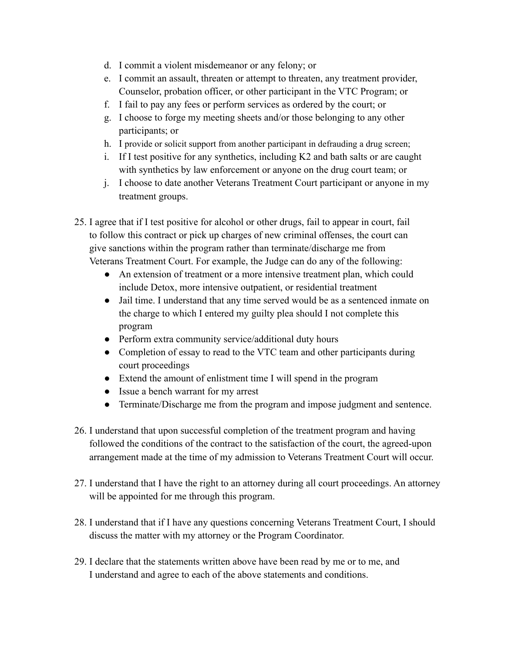- d. I commit a violent misdemeanor or any felony; or
- e. I commit an assault, threaten or attempt to threaten, any treatment provider, Counselor, probation officer, or other participant in the VTC Program; or
- f. I fail to pay any fees or perform services as ordered by the court; or
- g. I choose to forge my meeting sheets and/or those belonging to any other participants; or
- h. I provide or solicit support from another participant in defrauding a drug screen;
- i. If I test positive for any synthetics, including K2 and bath salts or are caught with synthetics by law enforcement or anyone on the drug court team; or
- j. I choose to date another Veterans Treatment Court participant or anyone in my treatment groups.
- 25. I agree that if I test positive for alcohol or other drugs, fail to appear in court, fail to follow this contract or pick up charges of new criminal offenses, the court can give sanctions within the program rather than terminate/discharge me from Veterans Treatment Court. For example, the Judge can do any of the following:
	- An extension of treatment or a more intensive treatment plan, which could include Detox, more intensive outpatient, or residential treatment
	- Jail time. I understand that any time served would be as a sentenced inmate on the charge to which I entered my guilty plea should I not complete this program
	- Perform extra community service/additional duty hours
	- Completion of essay to read to the VTC team and other participants during court proceedings
	- Extend the amount of enlistment time I will spend in the program
	- Issue a bench warrant for my arrest
	- Terminate/Discharge me from the program and impose judgment and sentence.
- 26. I understand that upon successful completion of the treatment program and having followed the conditions of the contract to the satisfaction of the court, the agreed-upon arrangement made at the time of my admission to Veterans Treatment Court will occur.
- 27. I understand that I have the right to an attorney during all court proceedings. An attorney will be appointed for me through this program.
- 28. I understand that if I have any questions concerning Veterans Treatment Court, I should discuss the matter with my attorney or the Program Coordinator.
- 29. I declare that the statements written above have been read by me or to me, and I understand and agree to each of the above statements and conditions.